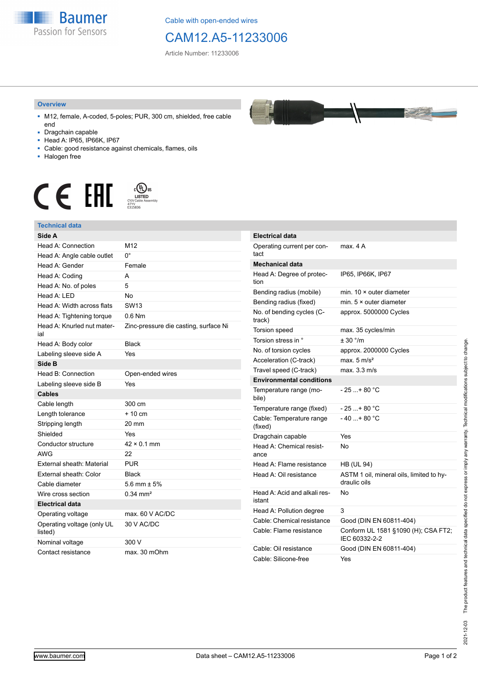

Cable with open-ended wires

## CAM12.A5-11233006

Article Number: 11233006

## **Overview**

- M12, female, A-coded, 5-poles; PUR, 300 cm, shielded, free cable end
- Dragchain capable
- Head A: IP65, IP66K, IP67
- Cable: good resistance against chemicals, flames, oils
- Halogen free



## **Technical data**

| Side A                                |                                       | Elec         |
|---------------------------------------|---------------------------------------|--------------|
| Head A: Connection                    | M12                                   | Ope          |
| Head A: Angle cable outlet            | 0°                                    | tact         |
| Head A: Gender                        | Female                                | Mec          |
| Head A: Coding                        | A                                     | Hea          |
| Head A: No. of poles                  | 5                                     | tion         |
| Head A: LED                           | No                                    | Ben          |
| Head A: Width across flats            | <b>SW13</b>                           | Ben          |
| Head A: Tightening torque             | $0.6$ Nm                              | No.<br>tracl |
| Head A: Knurled nut mater-<br>ial     | Zinc-pressure die casting, surface Ni | Tors         |
| Head A: Body color                    | <b>Black</b>                          | Tors         |
| Labeling sleeve side A                | Yes                                   | No.          |
| Side B                                |                                       | Acc          |
| Head B: Connection                    | Open-ended wires                      | Trav         |
| Labeling sleeve side B                | Yes                                   | Env          |
| Cables                                |                                       | Tem<br>bile) |
| Cable length                          | 300 cm                                | Tem          |
| Length tolerance                      | $+10$ cm                              | Cab          |
| Stripping length                      | 20 mm                                 | (fixe        |
| Shielded                              | Yes                                   | Dra          |
| Conductor structure                   | $42 \times 0.1$ mm                    | Hea          |
| <b>AWG</b>                            | 22                                    | anc          |
| External sheath: Material             | <b>PUR</b>                            | Hea          |
| External sheath: Color                | <b>Black</b>                          | Hea          |
| Cable diameter                        | 5.6 mm $\pm$ 5%                       |              |
| Wire cross section                    | $0.34 \text{ mm}^2$                   | Hea          |
| <b>Electrical data</b>                |                                       | istar        |
| Operating voltage                     | max. 60 V AC/DC                       | Hea          |
| Operating voltage (only UL<br>listed) | 30 V AC/DC                            | Cab<br>Cab   |
| Nominal voltage                       | 300 V                                 |              |
| Contact resistance                    | max. 30 mOhm                          | Cab<br>Cab   |



**Registra** 

| <b>Electrical data</b>                 |                                                          |
|----------------------------------------|----------------------------------------------------------|
| Operating current per con-<br>tact     | max. 4 A                                                 |
| <b>Mechanical data</b>                 |                                                          |
| Head A: Degree of protec-<br>tion      | IP65, IP66K, IP67                                        |
| Bending radius (mobile)                | min. $10 \times$ outer diameter                          |
| Bending radius (fixed)                 | min. $5 \times$ outer diameter                           |
| No. of bending cycles (C-<br>track)    | approx. 5000000 Cycles                                   |
| <b>Torsion speed</b>                   | max. 35 cycles/min                                       |
| Torsion stress in °                    | ± 30 °/m                                                 |
| No. of torsion cycles                  | approx. 2000000 Cycles                                   |
| Acceleration (C-track)                 | max. $5 \text{ m/s}^2$                                   |
| Travel speed (C-track)                 | max. 3.3 m/s                                             |
| <b>Environmental conditions</b>        |                                                          |
| Temperature range (mo-<br>bile)        | $-25+80 °C$                                              |
| Temperature range (fixed)              | - 25 + 80 °C                                             |
| Cable: Temperature range<br>(fixed)    | $-40+80 °C$                                              |
| Dragchain capable                      | Yes                                                      |
| Head A: Chemical resist-<br>ance       | No                                                       |
| Head A: Flame resistance               | <b>HB (UL 94)</b>                                        |
| Head A: Oil resistance                 | ASTM 1 oil, mineral oils, limited to hy-<br>draulic oils |
| Head A: Acid and alkali res-<br>istant | No                                                       |
| Head A: Pollution degree               | 3                                                        |
| Cable: Chemical resistance             | Good (DIN EN 60811-404)                                  |
| Cable: Flame resistance                | Conform UL 1581 §1090 (H); CSA FT2;<br>IEC 60332-2-2     |
| Cable: Oil resistance                  | Good (DIN EN 60811-404)                                  |
| Cable: Silicone-free                   | Yes                                                      |